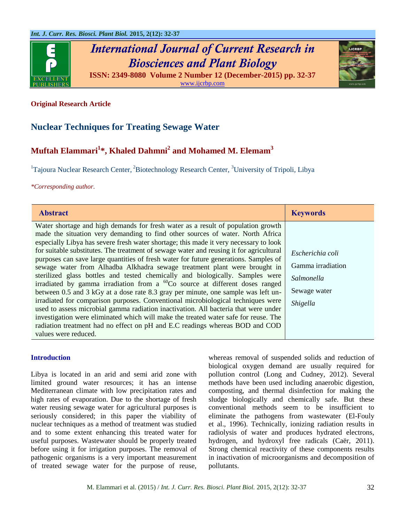

*International Journal of Current Research in Biosciences and Plant Biology* **ISSN: 2349-8080 Volume 2 Number 12 (December-2015) pp. 32-37**



[www.ijcrbp.com](http://www.ijcrbp.com/)

## **Original Research Article**

## **Nuclear Techniques for Treating Sewage Water**

# **Muftah Elammari<sup>1</sup> \*, Khaled Dahmni<sup>2</sup> and Mohamed M. Elemam<sup>3</sup>**

<sup>1</sup>Tajoura Nuclear Research Center, <sup>2</sup>Biotechnology Research Center, <sup>3</sup>University of Tripoli, Libya

*\*Corresponding author.*

| <b>Abstract</b>                                                                                                                                                                                                                                                                                                                                                                                                                                                                                                                                                                                                                                                                                                                                                                                                                                                                                                                                                                                                                                                                                                                                                    | <b>Keywords</b>                                                                 |
|--------------------------------------------------------------------------------------------------------------------------------------------------------------------------------------------------------------------------------------------------------------------------------------------------------------------------------------------------------------------------------------------------------------------------------------------------------------------------------------------------------------------------------------------------------------------------------------------------------------------------------------------------------------------------------------------------------------------------------------------------------------------------------------------------------------------------------------------------------------------------------------------------------------------------------------------------------------------------------------------------------------------------------------------------------------------------------------------------------------------------------------------------------------------|---------------------------------------------------------------------------------|
| Water shortage and high demands for fresh water as a result of population growth<br>made the situation very demanding to find other sources of water. North Africa<br>especially Libya has severe fresh water shortage; this made it very necessary to look<br>for suitable substitutes. The treatment of sewage water and reusing it for agricultural<br>purposes can save large quantities of fresh water for future generations. Samples of<br>sewage water from Alhadba Alkhadra sewage treatment plant were brought in<br>sterilized glass bottles and tested chemically and biologically. Samples were<br>irradiated by gamma irradiation from a ${}^{60}Co$ source at different doses ranged<br>between 0.5 and 3 kGy at a dose rate 8.3 gray per minute, one sample was left un-<br>irradiated for comparison purposes. Conventional microbiological techniques were<br>used to assess microbial gamma radiation inactivation. All bacteria that were under<br>investigation were eliminated which will make the treated water safe for reuse. The<br>radiation treatment had no effect on pH and E.C readings whereas BOD and COD<br>values were reduced. | Escherichia coli<br>Gamma irradiation<br>Salmonella<br>Sewage water<br>Shigella |

## **Introduction**

Libya is located in an arid and semi arid zone with limited ground water resources; it has an intense Mediterranean climate with low precipitation rates and high rates of evaporation. Due to the shortage of fresh water reusing sewage water for agricultural purposes is seriously considered; in this paper the viability of nuclear techniques as a method of treatment was studied and to some extent enhancing this treated water for useful purposes. Wastewater should be properly treated before using it for irrigation purposes. The removal of pathogenic organisms is a very important measurement of treated sewage water for the purpose of reuse, whereas removal of suspended solids and reduction of biological oxygen demand are usually required for pollution control (Long and Cudney, 2012). Several methods have been used including anaerobic digestion, composting, and thermal disinfection for making the sludge biologically and chemically safe. But these conventional methods seem to be insufficient to eliminate the pathogens from wastewater (El-Fouly et al., 1996). Technically, ionizing radiation results in radiolysis of water and produces hydrated electrons, hydrogen, and hydroxyl free radicals (Caër, 2011). Strong chemical reactivity of these components results in inactivation of microorganisms and decomposition of pollutants.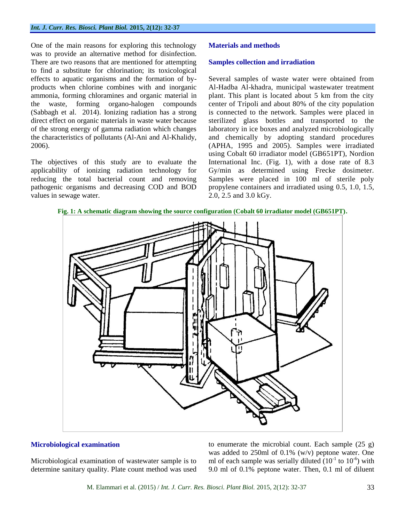One of the main reasons for exploring this technology was to provide an alternative method for disinfection. There are two reasons that are mentioned for attempting to find a substitute for chlorination; its toxicological effects to aquatic organisms and the formation of byproducts when chlorine combines with and inorganic ammonia, forming chloramines and organic material in the waste, forming organo-halogen compounds (Sabbagh et al. 2014). Ionizing radiation has a strong direct effect on organic materials in waste water because of the strong energy of gamma radiation which changes the characteristics of pollutants (Al-Ani and Al-Khalidy, 2006).

The objectives of this study are to evaluate the applicability of ionizing radiation technology for reducing the total bacterial count and removing pathogenic organisms and decreasing COD and BOD values in sewage water.

## **Materials and methods**

#### **Samples collection and irradiation**

Several samples of waste water were obtained from Al-Hadba Al-khadra, municipal wastewater treatment plant. This plant is located about 5 km from the city center of Tripoli and about 80% of the city population is connected to the network. Samples were placed in sterilized glass bottles and transported to the laboratory in ice boxes and analyzed microbiologically and chemically by adopting standard procedures (APHA, 1995 and 2005). Samples were irradiated using Cobalt 60 irradiator model (GB651PT), Nordion International Inc. (Fig. 1), with a dose rate of 8.3 Gy/min as determined using Frecke dosimeter. Samples were placed in 100 ml of sterile poly propylene containers and irradiated using 0.5, 1.0, 1.5, 2.0, 2.5 and 3.0 kGy.



**Fig. 1: A schematic diagram showing the source configuration (Cobalt 60 irradiator model (GB651PT).**

## **Microbiological examination**

Microbiological examination of wastewater sample is to determine sanitary quality. Plate count method was used to enumerate the microbial count. Each sample (25 g) was added to 250ml of 0.1% (w/v) peptone water. One ml of each sample was serially diluted  $(10^{-1}$  to  $10^{-6})$  with 9.0 ml of 0.1% peptone water. Then, 0.1 ml of diluent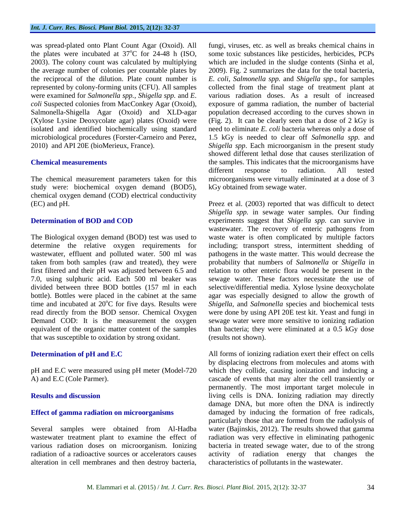was spread-plated onto Plant Count Agar (Oxoid). All the plates were incubated at  $37^{\circ}$ C for 24-48 h (ISO, 2003). The colony count was calculated by multiplying the average number of colonies per countable plates by the reciprocal of the dilution. Plate count number is represented by colony-forming units (CFU). All samples were examined for *Salmonella spp., Shigella spp.* and *E*. *coli* Suspected colonies from MacConkey Agar (Oxoid), Salmonella-Shigella Agar (Oxoid) and XLD-agar (Xylose Lysine Deoxycolate agar) plates (Oxoid) were isolated and identified biochemically using standard microbiological procedures (Forster-Carneiro and Perez, 2010) and API 20E (bioMerieux, France).

## **Chemical measurements**

The chemical measurement parameters taken for this study were: biochemical oxygen demand (BOD5), chemical oxygen demand (COD) electrical conductivity (EC) and pH.

## **Determination of BOD and COD**

The Biological oxygen demand (BOD) test was used to determine the relative oxygen requirements for wastewater, effluent and polluted water. 500 ml was taken from both samples (raw and treated), they were first filtered and their pH was adjusted between 6.5 and 7.0, using sulphuric acid. Each 500 ml beaker was divided between three BOD bottles (157 ml in each bottle). Bottles were placed in the cabinet at the same time and incubated at  $20^{\circ}$ C for five days. Results were read directly from the BOD sensor. Chemical Oxygen Demand COD: It is the measurement the oxygen equivalent of the organic matter content of the samples that was susceptible to oxidation by strong oxidant.

## **Determination of pH and E.C**

pH and E.C were measured using pH meter (Model-720 A) and E.C (Cole Parmer).

## **Results and discussion**

## **Effect of gamma radiation on microorganisms**

Several samples were obtained from Al-Hadba wastewater treatment plant to examine the effect of various radiation doses on microorganism. Ionizing radiation of a radioactive sources or accelerators causes alteration in cell membranes and then destroy bacteria, fungi, viruses, etc. as well as breaks chemical chains in some toxic substances like pesticides, herbicides, PCPs which are included in the sludge contents (Sinha et al, 2009). Fig. 2 summarizes the data for the total bacteria, *E. coli*, *Salmonella spp.* and *Shigella spp*., for samples collected from the final stage of treatment plant at various radiation doses. As a result of increased exposure of gamma radiation, the number of bacterial population decreased according to the curves shown in (Fig. 2). It can be clearly seen that a dose of 2 kGy is need to eliminate *E. coli* bacteria whereas only a dose of 1.5 kGy is needed to clear off *Salmonella spp.* and *Shigella spp*. Each microorganism in the present study showed different lethal dose that causes sterilization of the samples. This indicates that the microorganisms have different response to radiation. All tested microorganisms were virtually eliminated at a dose of 3 kGy obtained from sewage water.

Preez et al. (2003) reported that was difficult to detect *Shigella spp.* in sewage water samples. Our finding experiments suggest that *Shigella spp.* can survive in wastewater. The recovery of enteric pathogens from waste water is often complicated by multiple factors including; transport stress, intermittent shedding of pathogens in the waste matter. This would decrease the probability that numbers of *Salmonella* or *Shigella* in relation to other enteric flora would be present in the sewage water. These factors necessitate the use of selective/differential media. [Xylose](https://en.wikipedia.org/wiki/Xylose) [lysine](https://en.wikipedia.org/wiki/Lysine) [deoxycholate](https://en.wikipedia.org/wiki/Deoxycholate) [agar](https://en.wikipedia.org/wiki/Agar) was especially designed to allow the growth of *Shigella*, and *Salmonella* species and biochemical tests were done by using API 20E test kit. Yeast and fungi in sewage water were more sensitive to ionizing radiation than bacteria; they were eliminated at a 0.5 kGy dose (results not shown).

All forms of ionizing radiation exert their effect on cells by displacing electrons from molecules and atoms with which they collide, causing ionization and inducing a cascade of events that may alter the cell transiently or permanently. The most important target molecule in living cells is DNA. Ionizing radiation may directly damage DNA, but more often the DNA is indirectly damaged by inducing the formation of free radicals, particularly those that are formed from the radiolysis of water (Bajinskis, 2012). The results showed that gamma radiation was very effective in eliminating pathogenic bacteria in treated sewage water, due to of the strong activity of radiation energy that changes the characteristics of pollutants in the wastewater.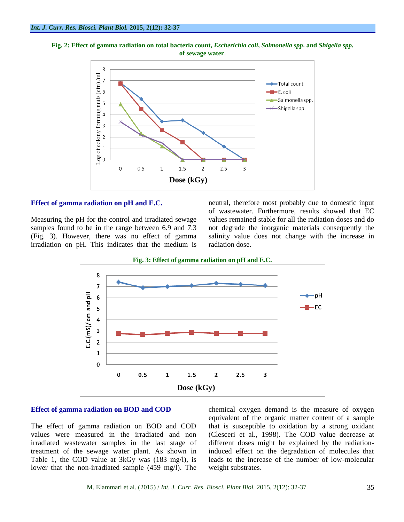



#### **Effect of gamma radiation on pH and E.C.**

Measuring the pH for the control and irradiated sewage samples found to be in the range between 6.9 and 7.3 (Fig. 3). However, there was no effect of gamma irradiation on pH. This indicates that the medium is neutral, therefore most probably due to domestic input of wastewater. Furthermore, results showed that EC values remained stable for all the radiation doses and do not degrade the inorganic materials consequently the salinity value does not change with the increase in radiation dose.



## **Effect of gamma radiation on BOD and COD**

The effect of gamma radiation on BOD and COD values were measured in the irradiated and non irradiated wastewater samples in the last stage of treatment of the sewage water plant. As shown in Table 1, the COD value at 3kGy was (183 mg/l), is lower that the non-irradiated sample (459 mg/l). The chemical oxygen demand is the measure of oxygen equivalent of the organic matter content of a sample that is susceptible to oxidation by a strong oxidant (Clesceri et al., 1998). The COD value decrease at different doses might be explained by the radiationinduced effect on the degradation of molecules that leads to the increase of the number of low-molecular weight substrates.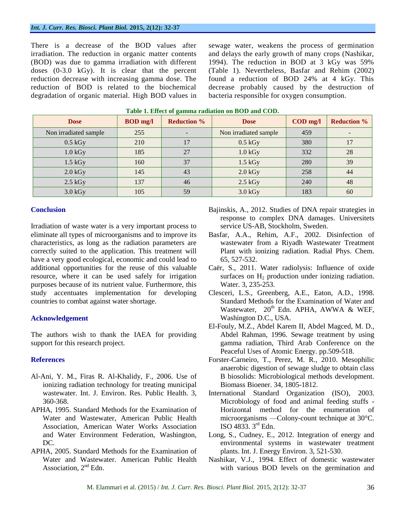There is a decrease of the BOD values after irradiation. The reduction in organic matter contents (BOD) was due to gamma irradiation with different doses (0-3.0 kGy). It is clear that the percent reduction decrease with increasing gamma dose. The reduction of BOD is related to the biochemical degradation of organic material. High BOD values in sewage water, weakens the process of germination and delays the early growth of many crops (Nashikar, 1994). The reduction in BOD at 3 kGy was 59% (Table 1). Nevertheless, Basfar and Rehim (2002) found a reduction of BOD 24% at 4 kGy. This decrease probably caused by the destruction of bacteria responsible for oxygen consumption.

| <b>Dose</b>           | <b>BOD</b> mg/l | <b>Reduction %</b> | <b>Dose</b>           | $\mathbf{COD}$ mg/l | <b>Reduction %</b> |
|-----------------------|-----------------|--------------------|-----------------------|---------------------|--------------------|
| Non irradiated sample | 255             |                    | Non irradiated sample | 459                 |                    |
| $0.5$ kGy             | 210             | 17                 | $0.5$ kGy             | 380                 | 17                 |
| $1.0$ kGy             | 185             | 27                 | $1.0$ kGy             | 332                 | 28                 |
| $1.5$ kGy             | 160             | 37                 | $1.5$ kGy             | 280                 | 39                 |
| $2.0$ kGy             | 145             | 43                 | $2.0$ kGy             | 258                 | 44                 |
| $2.5$ kGy             | 137             | 46                 | $2.5$ kGy             | 240                 | 48                 |
| $3.0$ kGy             | 105             | 59                 | $3.0$ kGy             | 183                 | 60                 |

#### **Table 1. Effect of gamma radiation on BOD and COD.**

## **Conclusion**

Irradiation of waste water is a very important process to eliminate all types of microorganisms and to improve its characteristics, as long as the radiation parameters are correctly suited to the application. This treatment will have a very good ecological, economic and could lead to additional opportunities for the reuse of this valuable resource, where it can be used safely for irrigation purposes because of its nutrient value. Furthermore, this study accentuates implementation for developing countries to combat against water shortage.

## **Acknowledgement**

The authors wish to thank the IAEA for providing support for this research project.

## **References**

- Al-Ani, Y. M., Firas R. Al-Khalidy, F., 2006. Use of ionizing radiation technology for treating municipal wastewater. Int. J. Environ. Res. Public Health. 3, 360-368.
- APHA, 1995. Standard Methods for the Examination of Water and Wastewater, American Public Health Association, American Water Works Association and Water Environment Federation, Washington, DC.
- APHA, 2005. Standard Methods for the Examination of Water and Wastewater. American Public Health Association, 2<sup>nd</sup> Edn.

Bajinskis, A., 2012. Studies of DNA repair strategies in response to complex DNA damages. Universitets service US-AB, Stockholm, Sweden.

- Basfar, A.A., Rehim, A.F., 2002. Disinfection of wastewater from a Riyadh Wastewater Treatment Plant with ionizing radiation. Radial Phys. Chem. 65, 527-532.
- Caër, S., 2011. Water radiolysis: Influence of oxide surfaces on  $H<sub>2</sub>$  production under ionizing radiation. Water. 3, 235-253.
- Clesceri, L.S., Greenberg, A.E., Eaton, A.D., 1998. Standard Methods for the Examination of Water and Wastewater,  $20<sup>th</sup>$  Edn. APHA, AWWA & WEF, Washington D.C., USA.
- El-Fouly, M.Z., Abdel Karem II, Abdel Magced, M. D., Abdel Rahman, 1996. Sewage treatment by using gamma radiation, Third Arab Conference on the Peaceful Uses of Atomic Energy. pp.509-518.
- Forster-Carneiro, T., Perez, M. R., 2010. Mesophilic anaerobic digestion of sewage sludge to obtain class B biosolids: Microbiological methods development. Biomass Bioener. 34, 1805-1812.
- International Standard Organization (ISO), 2003. Microbiology of food and animal feeding stuffs - Horizontal method for the enumeration of microorganisms —Colony-count technique at 30°C. ISO 4833.  $3^{\text{rd}}$  Edn.
- Long, S., Cudney, E., 2012. Integration of energy and environmental systems in wastewater treatment plants. Int. J. Energy Environ. 3, 521-530.
- Nashikar, V.J., 1994. Effect of domestic wastewater with various BOD levels on the germination and